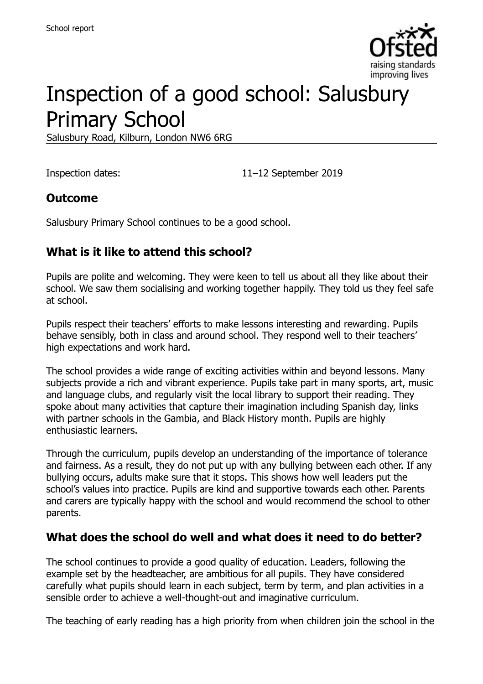

# Inspection of a good school: Salusbury Primary School

Salusbury Road, Kilburn, London NW6 6RG

Inspection dates: 11–12 September 2019

#### **Outcome**

Salusbury Primary School continues to be a good school.

### **What is it like to attend this school?**

Pupils are polite and welcoming. They were keen to tell us about all they like about their school. We saw them socialising and working together happily. They told us they feel safe at school.

Pupils respect their teachers' efforts to make lessons interesting and rewarding. Pupils behave sensibly, both in class and around school. They respond well to their teachers' high expectations and work hard.

The school provides a wide range of exciting activities within and beyond lessons. Many subjects provide a rich and vibrant experience. Pupils take part in many sports, art, music and language clubs, and regularly visit the local library to support their reading. They spoke about many activities that capture their imagination including Spanish day, links with partner schools in the Gambia, and Black History month. Pupils are highly enthusiastic learners.

Through the curriculum, pupils develop an understanding of the importance of tolerance and fairness. As a result, they do not put up with any bullying between each other. If any bullying occurs, adults make sure that it stops. This shows how well leaders put the school's values into practice. Pupils are kind and supportive towards each other. Parents and carers are typically happy with the school and would recommend the school to other parents.

#### **What does the school do well and what does it need to do better?**

The school continues to provide a good quality of education. Leaders, following the example set by the headteacher, are ambitious for all pupils. They have considered carefully what pupils should learn in each subject, term by term, and plan activities in a sensible order to achieve a well-thought-out and imaginative curriculum.

The teaching of early reading has a high priority from when children join the school in the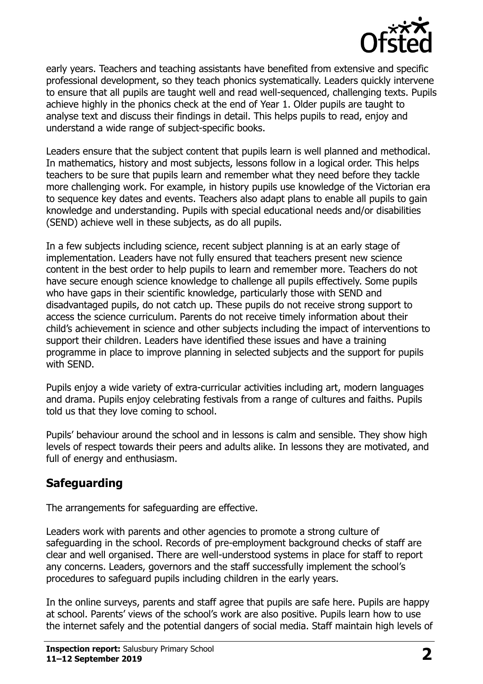

early years. Teachers and teaching assistants have benefited from extensive and specific professional development, so they teach phonics systematically. Leaders quickly intervene to ensure that all pupils are taught well and read well-sequenced, challenging texts. Pupils achieve highly in the phonics check at the end of Year 1. Older pupils are taught to analyse text and discuss their findings in detail. This helps pupils to read, enjoy and understand a wide range of subject-specific books.

Leaders ensure that the subject content that pupils learn is well planned and methodical. In mathematics, history and most subjects, lessons follow in a logical order. This helps teachers to be sure that pupils learn and remember what they need before they tackle more challenging work. For example, in history pupils use knowledge of the Victorian era to sequence key dates and events. Teachers also adapt plans to enable all pupils to gain knowledge and understanding. Pupils with special educational needs and/or disabilities (SEND) achieve well in these subjects, as do all pupils.

In a few subjects including science, recent subject planning is at an early stage of implementation. Leaders have not fully ensured that teachers present new science content in the best order to help pupils to learn and remember more. Teachers do not have secure enough science knowledge to challenge all pupils effectively. Some pupils who have gaps in their scientific knowledge, particularly those with SEND and disadvantaged pupils, do not catch up. These pupils do not receive strong support to access the science curriculum. Parents do not receive timely information about their child's achievement in science and other subjects including the impact of interventions to support their children. Leaders have identified these issues and have a training programme in place to improve planning in selected subjects and the support for pupils with SEND.

Pupils enjoy a wide variety of extra-curricular activities including art, modern languages and drama. Pupils enjoy celebrating festivals from a range of cultures and faiths. Pupils told us that they love coming to school.

Pupils' behaviour around the school and in lessons is calm and sensible. They show high levels of respect towards their peers and adults alike. In lessons they are motivated, and full of energy and enthusiasm.

# **Safeguarding**

The arrangements for safeguarding are effective.

Leaders work with parents and other agencies to promote a strong culture of safeguarding in the school. Records of pre-employment background checks of staff are clear and well organised. There are well-understood systems in place for staff to report any concerns. Leaders, governors and the staff successfully implement the school's procedures to safeguard pupils including children in the early years.

In the online surveys, parents and staff agree that pupils are safe here. Pupils are happy at school. Parents' views of the school's work are also positive. Pupils learn how to use the internet safely and the potential dangers of social media. Staff maintain high levels of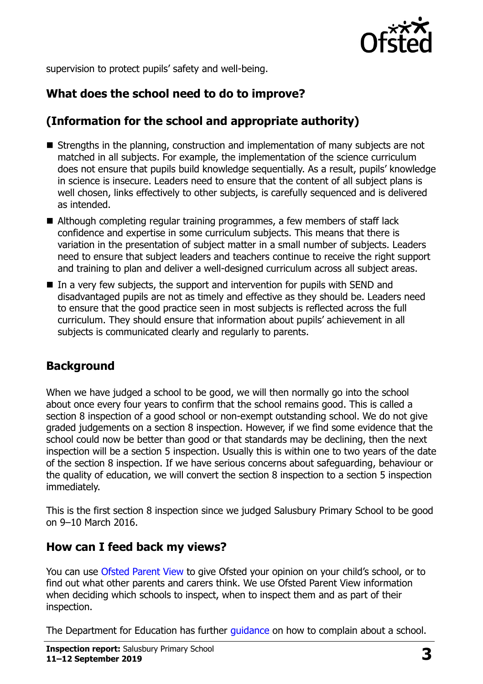

supervision to protect pupils' safety and well-being.

# **What does the school need to do to improve?**

# **(Information for the school and appropriate authority)**

- Strengths in the planning, construction and implementation of many subjects are not matched in all subjects. For example, the implementation of the science curriculum does not ensure that pupils build knowledge sequentially. As a result, pupils' knowledge in science is insecure. Leaders need to ensure that the content of all subject plans is well chosen, links effectively to other subjects, is carefully sequenced and is delivered as intended.
- Although completing regular training programmes, a few members of staff lack confidence and expertise in some curriculum subjects. This means that there is variation in the presentation of subject matter in a small number of subjects. Leaders need to ensure that subject leaders and teachers continue to receive the right support and training to plan and deliver a well-designed curriculum across all subject areas.
- $\blacksquare$  In a very few subjects, the support and intervention for pupils with SEND and disadvantaged pupils are not as timely and effective as they should be. Leaders need to ensure that the good practice seen in most subjects is reflected across the full curriculum. They should ensure that information about pupils' achievement in all subjects is communicated clearly and regularly to parents.

# **Background**

When we have judged a school to be good, we will then normally go into the school about once every four years to confirm that the school remains good. This is called a section 8 inspection of a good school or non-exempt outstanding school. We do not give graded judgements on a section 8 inspection. However, if we find some evidence that the school could now be better than good or that standards may be declining, then the next inspection will be a section 5 inspection. Usually this is within one to two years of the date of the section 8 inspection. If we have serious concerns about safeguarding, behaviour or the quality of education, we will convert the section 8 inspection to a section 5 inspection immediately.

This is the first section 8 inspection since we judged Salusbury Primary School to be good on 9–10 March 2016.

#### **How can I feed back my views?**

You can use [Ofsted Parent View](https://parentview.ofsted.gov.uk/) to give Ofsted your opinion on your child's school, or to find out what other parents and carers think. We use Ofsted Parent View information when deciding which schools to inspect, when to inspect them and as part of their inspection.

The Department for Education has further quidance on how to complain about a school.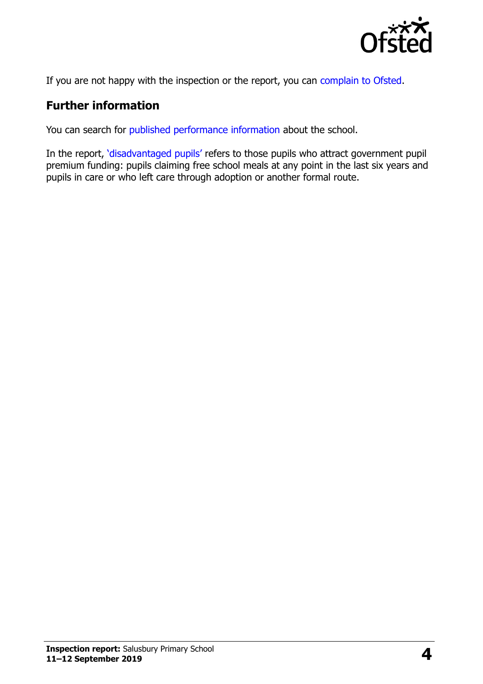

If you are not happy with the inspection or the report, you can [complain to Ofsted.](https://www.gov.uk/complain-ofsted-report)

### **Further information**

You can search for [published performance information](http://www.compare-school-performance.service.gov.uk/) about the school.

In the report, '[disadvantaged pupils](http://www.gov.uk/guidance/pupil-premium-information-for-schools-and-alternative-provision-settings)' refers to those pupils who attract government pupil premium funding: pupils claiming free school meals at any point in the last six years and pupils in care or who left care through adoption or another formal route.

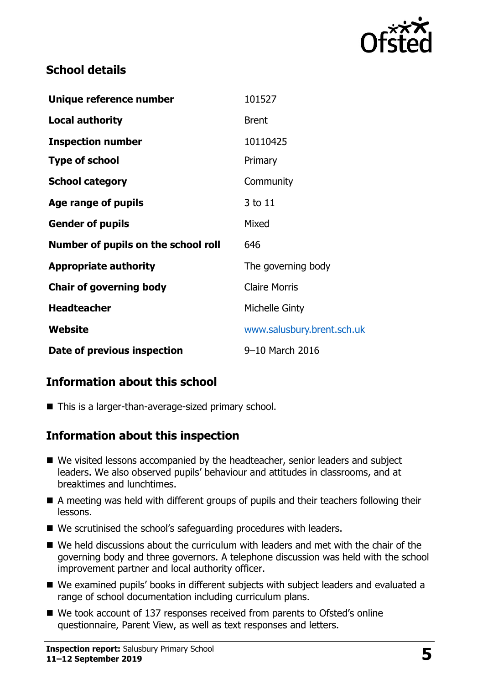

### **School details**

| Unique reference number             | 101527                     |
|-------------------------------------|----------------------------|
| <b>Local authority</b>              | <b>Brent</b>               |
| <b>Inspection number</b>            | 10110425                   |
| <b>Type of school</b>               | Primary                    |
| <b>School category</b>              | Community                  |
| Age range of pupils                 | 3 to 11                    |
| <b>Gender of pupils</b>             | Mixed                      |
| Number of pupils on the school roll | 646                        |
| <b>Appropriate authority</b>        | The governing body         |
| <b>Chair of governing body</b>      | <b>Claire Morris</b>       |
| <b>Headteacher</b>                  | Michelle Ginty             |
| Website                             | www.salusbury.brent.sch.uk |
| Date of previous inspection         | 9-10 March 2016            |

# **Information about this school**

■ This is a larger-than-average-sized primary school.

# **Information about this inspection**

- We visited lessons accompanied by the headteacher, senior leaders and subject leaders. We also observed pupils' behaviour and attitudes in classrooms, and at breaktimes and lunchtimes.
- A meeting was held with different groups of pupils and their teachers following their lessons.
- We scrutinised the school's safeguarding procedures with leaders.
- We held discussions about the curriculum with leaders and met with the chair of the governing body and three governors. A telephone discussion was held with the school improvement partner and local authority officer.
- We examined pupils' books in different subjects with subject leaders and evaluated a range of school documentation including curriculum plans.
- We took account of 137 responses received from parents to Ofsted's online questionnaire, Parent View, as well as text responses and letters.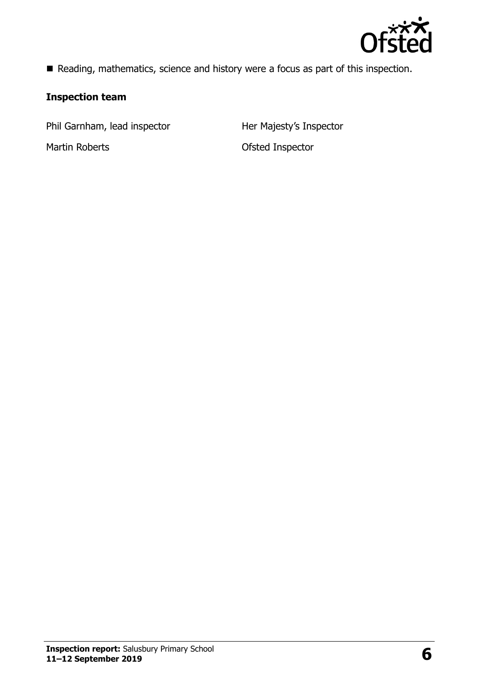

Reading, mathematics, science and history were a focus as part of this inspection.

#### **Inspection team**

Phil Garnham, lead inspector **Her Majesty's Inspector** 

Martin Roberts **Martin Roberts Constanting Martin Roberts Constanting Martin Roberts**